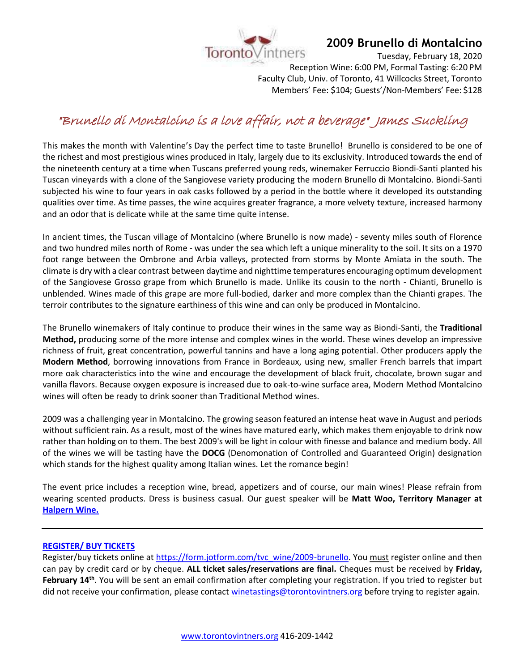

## **2009 Brunello di Montalcino**

Tuesday, February 18, 2020

Reception Wine: 6:00 PM, Formal Tasting: 6:20 PM Faculty Club, Univ. of Toronto, 41 Willcocks Street, Toronto Members' Fee: \$104; Guests'/Non-Members' Fee: \$128

# "Brunello di Montalcino is a love affair, not a beverage" James Suckling

This makes the month with Valentine's Day the perfect time to taste Brunello! Brunello is considered to be one of the richest and most prestigious wines produced in Italy, largely due to its exclusivity. Introduced towards the end of the nineteenth century at a time when Tuscans preferred young reds, winemaker Ferruccio Biondi-Santi planted his Tuscan vineyards with a clone of the Sangiovese variety producing the modern Brunello di Montalcino. Biondi-Santi subjected his wine to four years in oak casks followed by a period in the bottle where it developed its outstanding qualities over time. As time passes, the wine acquires greater fragrance, a more velvety texture, increased harmony and an odor that is delicate while at the same time quite intense.

In ancient times, the Tuscan village of Montalcino (where Brunello is now made) - seventy miles south of Florence and two hundred miles north of Rome - was under the sea which left a unique minerality to the soil. It sits on a 1970 foot range between the Ombrone and Arbia valleys, protected from storms by Monte Amiata in the south. The climate is dry with a clear contrast between daytime and nighttime temperatures encouraging optimum development of the Sangiovese Grosso grape from which Brunello is made. Unlike its cousin to the north - Chianti, Brunello is unblended. Wines made of this grape are more full-bodied, darker and more complex than the Chianti grapes. The terroir contributes to the signature earthiness of this wine and can only be produced in Montalcino.

The Brunello winemakers of Italy continue to produce their wines in the same way as Biondi-Santi, the **Traditional Method,** producing some of the more intense and complex wines in the world. These wines develop an impressive richness of fruit, great concentration, powerful tannins and have a long aging potential. Other producers apply the **Modern Method**, borrowing innovations from France in Bordeaux, using new, smaller French barrels that impart more oak characteristics into the wine and encourage the development of black fruit, chocolate, brown sugar and vanilla flavors. Because oxygen exposure is increased due to oak-to-wine surface area, Modern Method Montalcino wines will often be ready to drink sooner than Traditional Method wines.

2009 was a challenging year in Montalcino. The growing season featured an intense heat wave in August and periods without sufficient rain. As a result, most of the wines have matured early, which makes them enjoyable to drink now rather than holding on to them. The best 2009's will be light in colour with finesse and balance and medium body. All of the wines we will be tasting have the **DOCG** (Denomonation of Controlled and Guaranteed Origin) designation which stands for the highest quality among Italian wines. Let the romance begin!

The event price includes a reception wine, bread, appetizers and of course, our main wines! Please refrain from wearing scented products. Dress is business casual. Our guest speaker will be **Matt Woo, Territory Manager at [Halpern Wine.](https://halpernwine.com/)**

#### **[REGISTER/ BUY TICKETS](https://form.jotform.com/tvc_wine/2009-brunello)**

Register/buy tickets online at [https://form.jotform.com/tvc\\_wine/2009-brunello.](https://form.jotform.com/tvc_wine/2009-brunello) You must register online and then can pay by credit card or by cheque. **ALL ticket sales/reservations are final.** Cheques must be received by **Friday,**  February 14<sup>th</sup>. You will be sent an email confirmation after completing your registration. If you tried to register but did not receive your confirmation, please contact [winetastings@torontovintners.org](mailto:winetastings@torontovintners.org) before trying to register again.